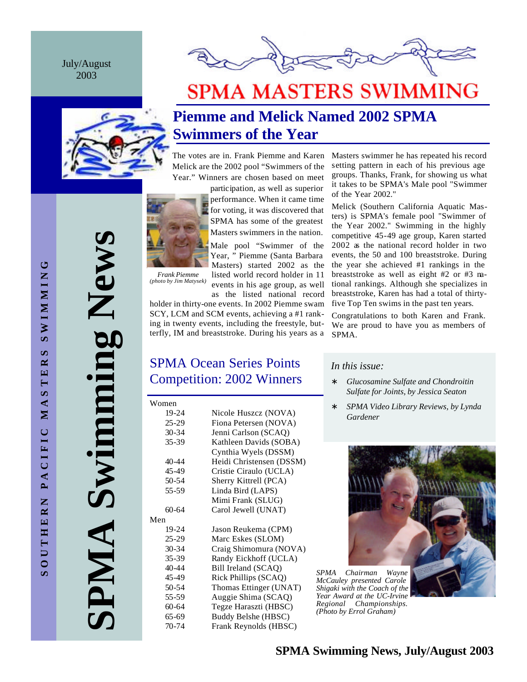#### July/August 2003



**SPMA Swimming News**

SPMA

Swimming New



# **SPMA MASTERS SWIMMING**

## **Piemme and Melick Named 2002 SPMA Swimmers of the Year**

The votes are in. Frank Piemme and Karen Melick are the 2002 pool "Swimmers of the Year." Winners are chosen based on meet



*Frank Piemme (photo by Jim Matysek)* participation, as well as superior performance. When it came time for voting, it was discovered that SPMA has some of the greatest Masters swimmers in the nation.

Male pool "Swimmer of the Year, " Piemme (Santa Barbara Masters) started 2002 as the listed world record holder in 11 events in his age group, as well

as the listed national record holder in thirty-one events. In 2002 Piemme swam SCY, LCM and SCM events, achieving a #1 ranking in twenty events, including the freestyle, butterfly, IM and breaststroke. During his years as a

Masters swimmer he has repeated his record setting pattern in each of his previous age groups. Thanks, Frank, for showing us what it takes to be SPMA's Male pool "Swimmer of the Year 2002."

Melick (Southern California Aquatic Masters) is SPMA's female pool "Swimmer of the Year 2002." Swimming in the highly competitive 45-49 age group, Karen started 2002 as the national record holder in two events, the 50 and 100 breaststroke. During the year she achieved #1 rankings in the breaststroke as well as eight #2 or #3 national rankings. Although she specializes in breaststroke, Karen has had a total of thirtyfive Top Ten swims in the past ten years.

Congratulations to both Karen and Frank. We are proud to have you as members of SPMA.

### SPMA Ocean Series Points Competition: 2002 Winners

| Women     |                          | $\ast$         |
|-----------|--------------------------|----------------|
| 19-24     | Nicole Huszcz (NOVA)     |                |
| 25-29     | Fiona Petersen (NOVA)    |                |
| 30-34     | Jenni Carlson (SCAQ)     |                |
| 35-39     | Kathleen Davids (SOBA)   |                |
|           | Cynthia Wyels (DSSM)     |                |
| 40-44     | Heidi Christensen (DSSM) |                |
| 45-49     | Cristie Ciraulo (UCLA)   |                |
| 50-54     | Sherry Kittrell (PCA)    |                |
| 55-59     | Linda Bird (LAPS)        |                |
|           | Mimi Frank (SLUG)        |                |
| $60 - 64$ | Carol Jewell (UNAT)      |                |
| Men       |                          |                |
| 19-24     | Jason Reukema (CPM)      |                |
| 25-29     | Marc Eskes (SLOM)        |                |
| 30-34     | Craig Shimomura (NOVA)   |                |
| 35-39     | Randy Eickhoff (UCLA)    |                |
| 40-44     | Bill Ireland (SCAQ)      | <b>SPMA</b>    |
| 45-49     | Rick Phillips (SCAQ)     | McCa           |
| 50-54     | Thomas Ettinger (UNAT)   | Shigal         |
| 55-59     | Auggie Shima (SCAQ)      | Year A         |
| 60-64     | Tegze Haraszti (HBSC)    | Regio<br>(Phot |
| 65-69     | Buddy Belshe (HBSC)      |                |
| 70-74     | Frank Reynolds (HBSC)    |                |

#### *In this issue:*

- ∗ *Glucosamine Sulfate and Chondroitin Sulfate for Joints, by Jessica Seaton*
- ∗ *SPMA Video Library Reviews, by Lynda Gardener*



*SPMA Chairman Wayne McCauley presented Carole Shigaki with the Coach of the Year Award at the UC-Irvine Regional Championships. (Photo by Errol Graham)*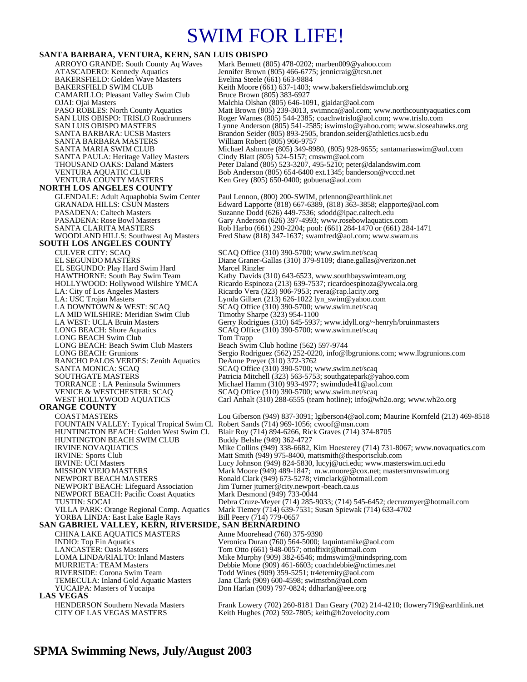## SWIM FOR LIFE!

#### **SANTA BARBARA, VENTURA, KERN, SAN LUIS OBISPO**

ARROYO GRANDE: South County Aq Waves Mark Bennett (805) 478-0202; marben009@yahoo.com<br>ATASCADERO: Kennedy Aquatics Jennifer Brown (805) 466-6775; jennicraig@tcsn.net Jennifer Brown (805) 466-6775; jennicraig@tcsn.net<br>Evelina Steele (661) 663-9884 BAKERSFIELD: Golden Wave Masters<br>BAKERSFIELD SWIM CLUB Keith Moore (661) 637-1403; www.bakersfieldswimclub.org<br>Bruce Brown (805) 383-6927 CAMARILLO: Pleasant Valley Swim Club<br>OJAI: Ojai Masters OJAI: Ojai Masters Malchia Olshan (805) 646-1091, gjaidar@aol.com PASO ROBLES: North County Aquatics Matt Brown (805) 239-3013, swimnca@aol.com; www.northcountyaquatics.com<br>SAN LUIS OBISPO: TRISLO Roadrunners Roger Warnes (805) 544-2385; coachwtrislo@aol.com; www.trislo.com SAN LUIS OBISPO: TRISLO Roadrunners Roger Warnes (805) 544-2385; coachwtrislo@aol.com; www.trislo.com<br>SAN LUIS OBISPO MASTERS Lynne Anderson (805) 541-2585; iswimslo@yahoo.com; www.sloseaha SAN LUIS OBISPO MASTERS<br>
SANTA BARBARA: UCSB Masters Brandon Seider (805) 893-2505, brandon.seider@athletics.ucsb.edu<br>
Brandon Seider (805) 893-2505, brandon.seider@athletics.ucsb.edu Brandon Seider (805) 893-2505, brandon seider@athletics.ucsb.edu<br>William Robert (805) 966-9757 SANTA BARBARA MASTERS SANTA MARIA SWIM CLUB Michael Ashmore (805) 349-8980, (805) 928-9655; santamariaswim@aol.com<br>SANTA PAULA: Heritage Valley Masters Cindy Blatt (805) 524-5157; cmswm@aol.com SANTA PAULA: Heritage Valley Masters Cindy Blatt (805) 524-5157; cmswm@aol.com<br>THOUSAND OAKS: Daland Masters Peter Daland (805) 523-3207, 495-5210; peter © THOUSAND OAKS: Daland Masters Peter Daland (805) 523-3207, 495-5210; peter@dalandswim.com<br>Peter Daland (805) 523-3207, 495-5210; peter@dalandswim.com<br>Peter Daba Anderson (805) 654-6400 ext.1345; banderson@vcccd.net VENTURA AQUATIC CLUB Bob Anderson (805) 654-6400 ext.1345; banderson @vcccd.net<br>VENTURA COUNTY MASTERS Ken Grey (805) 650-0400; gobuena @aol.com Ken Grey (805) 650-0400; gobuena@aol.com **NORTH LOS ANGELES COUNTY**  GLENDALE: Adult Aquaphobia Swim Center Paul Lennon, (800) 200-SWIM, prlennon@earthlink.net<br>GRANADA HILLS: CSUN Masters Edward Lapporte (818) 667-6389, (818) 363-3858; elapp GRANADA HILLS: CSUN Masters Edward Lapporte (818) 667-6389, (818) 363-3858; elapporte@aol.com<br>PASADENA: Caltech Masters Suzanne Dodd (626) 449-7536; sdodd@ipac.caltech.edu PASADENA: Caltech Masters Suzanne Dodd (626) 449-7536; sdodd@ipac.caltech.edu<br>PASADENA: Rose Bowl Masters Gary Anderson (626) 397-4993; www.rosebowlaquatics. PASADENA: Rose Bowl Masters Gary Anderson (626) 397-4993; www.rosebowlaquatics.com<br>SANTA CLARITA MASTERS Rob Harbo (661) 290-2204; pool: (661) 284-1470 or (661) 28 SANTA CLARITA MASTERS Rob Harbo (661) 290-2204; pool: (661) 284-1470 or (661) 284-1471<br>WOODLAND HILLS: Southwest Aq Masters Fred Shaw (818) 347-1637; swamfred@aol.com; www.swam.us Fred Shaw (818) 347-1637; swamfred@aol.com; www.swam.us **SOUTH LOS ANGELES COUNTY**  CULVER CITY: SCAQ SCAQ Office (310) 390-5700; www.swim.net/scaq<br>EL SEGUNDO MASTERS Diane Graner-Gallas (310) 379-9109; diane.gallas @ Diane Graner-Gallas (310) 379-9109; diane.gallas@verizon.net<br>Marcel Rinzler EL SEGUNDO: Play Hard Swim Hard<br>HAWTHORNE: South Bay Swim Team HAWTHORNE: South Bay Swim Team Kathy Davids (310) 643-6523, www.southbayswimteam.org<br>HOLLYWOOD: Hollywood Wilshire YMCA Ricardo Espinoza (213) 639-7537; ricardoespinoza@ywcala. HOLLYWOOD: Hollywood Wilshire YMCA Ricardo Espinoza (213) 639-7537; ricardoespinoza@ywcala.org<br>
LA: City of Los Angeles Masters Ricardo Vera (323) 906-7953; rvera@rap.lacity.org<br>
LA: USC Trojan Masters Lynda Gilbert (213) Ricardo Vera (323) 906-7953; rvera@rap.lacity.org LA: USC Trojan Masters Lynda Gilbert (213) 626-1022 lyn\_swim@yahoo.com<br>
LA DOWNTOWN & WEST: SCAQ SCAQ Office (310) 390-5700; www.swim.net/scaq SCAQ Office (310) 390-5700; www.swim.net/scaq<br>Timothy Sharpe (323) 954-1100 LA MID WILSHIRE: Meridian Swim Club<br>LA WEST: UCLA Bruin Masters LA WEST: UCLA Bruin Masters Gerry Rodrigues (310) 645-5937; www.idyll.org/~henryh/bruinmasters LONG BEACH: Shore Aquatics SCAQ Office (310) 390-5700; www.swim.net/scaq SCAQ Office (310) 390-5700; www.swim.net/scaq LONG BEACH Swim Club Tom Trapp<br>
LONG BEACH: Beach Swim Club Masters Beach Swim Club hotline (562) 597-9744 LONG BEACH: Beach Swim Club Masters<br>LONG BEACH: Grunions Sergio Rodriguez (562) 252-0220, info@lbgrunions.com; www.lbgrunions.com<br>DeAnne Preyer (310) 372-3762 RANCHO PALOS VERDES: Zenith Aquatics SANTA MONICA: SCAQ SCAQ Office (310) 390-5700; www.swim.net/scaq SOUTHGATE MASTERS Patricia Mitchell (323) 563-5753; southgatepark@yahoo.com<br>
TORRANCE : LA Peninsula Swimmers Michael Hamm (310) 993-4977; swimdude41@aol.com TORRANCE : LA Peninsula Swimmers Michael Hamm (310) 993-4977; swimdude41@aol.com VENICE & WESTCHESTER: SCAQ SCAQ Office (310) 390-5700; www.swim.net/scaq<br>WEST HOLLYWOOD AQUATICS Carl Anhalt (310) 288-6555 (team hotline); info@w Carl Anhalt (310) 288-6555 (team hotline); info@wh2o.org; www.wh2o.org **ORANGE COUNTY**  COAST MASTERS Lou Giberson (949) 837-3091; lgiberson4@aol.com; Maurine Kornfeld (213) 469-8518<br>FOUNTAIN VALLEY: Typical Tropical Swim Cl. Robert Sands (714) 969-1056; cwoof@msn.com FOUNTAIN VALLEY: Typical Tropical Swim Cl.<br>HUNTINGTON BEACH: Golden West Swim Cl. Blair Roy (714) 894-6266, Rick Graves (714) 374-8705<br>Buddy Belshe (949) 362-4727 HUNTINGTON BEACH SWIM CLUB<br>IRVINE NOVAQUATICS Mike Collins (949) 338-6682, Kim Hoesterey (714) 731-8067; www.novaquatics.com IRVINE: Sports Club Matt Smith (949) 975-8400, mattsmith@thesportsclub.com<br>
IRVINE: UCI Masters Lucy Johnson (949) 824-5830, lucyj@uci.edu; www.master IRVINE: UCI Masters Lucy Johnson (949) 824-5830, lucyj@uci.edu; www.masterswim.uci.edu<br>MISSION VIEJO MASTERS Mark Moore (949) 489-1847: m.w.moore@cox.net: mastersmynswim.or Mark Moore (949) 489-1847; m.w.moore@cox.net; mastersmvnswim.org NEWPORT BEACH MASTERS<br>NEWPORT BEACH: Lifeguard Association Jim Turner jturner@city.newport-beach.ca.us Jim Turner jturner@city.newport-beach.ca.us<br>Mark Desmond (949) 733-0044 NEWPORT BEACH: Pacific Coast Aquatics TUSTIN: SOCAL Debra Cruze-Meyer (714) 285-9033; (714) 545-6452; decruzmyer@hotmail.com Mark Tiemey (714) 639-7531; Susan Spiewak (714) 633-4702 VILLA PARK: Orange Regional Comp. Aquatics Mark Tiemey (714)  $\frac{\delta 39 - 7}{17}$  YORBA LINDA: East Lake Eagle Rays **SAN GABRIEL VALLEY, KERN, RIVERSIDE, SAN BERNARDINO**  CHINA LAKE AQUATICS MASTERS Anne Moorehead (760) 375-9390 INDIO: Top Fin Aquatics Veronica Duran (760) 564-5000; laquintamike@aol.com<br>
LANCASTER: Oasis Masters Tom Otto (661) 948-0057; ottolfixit@hotmail.com LANCASTER: Oasis Masters Tom Otto (661) 948-0057; ottolfixit@hotmail.com<br>COMA LINDA/RIALTO: Inland Masters Mike Murphy (909) 382-6546; mdmswim@minds Mike Murphy (909) 382-6546; mdmswim@mindspring.com MURRIETA: TEAM Masters Debbie Mone (909) 461-6603; coachdebbie@nctimes.net<br>RIVERSIDE: Corona Swim Team Todd Wines (909) 359-5251; tr4eternity@aol.com RIVERSIDE: Corona Swim Team Todd Wines (909) 359-5251; tr4eternity@aol.com<br>TEMECULA: Inland Gold Aquatic Masters Jana Clark (909) 600-4598; swimstbn@aol.com TEMECULA: Inland Gold Aquatic Masters Jana Clark (909) 600-4598; swimstbn@aol.com<br>YUCAIPA: Masters of Yucaipa Don Harlan (909) 797-0824; ddharlan@eee.org Don Harlan (909) 797-0824; ddharlan@eee.org **LAS VEGAS**  HENDERSON Southern Nevada Masters Frank Lowery (702) 260-8181 Dan Geary (702) 214-4210; flowery719@earthlink.net CITY OF LAS VEGAS MASTERS Keith Hughes (702) 592-7805; keith@h2ovelocity.com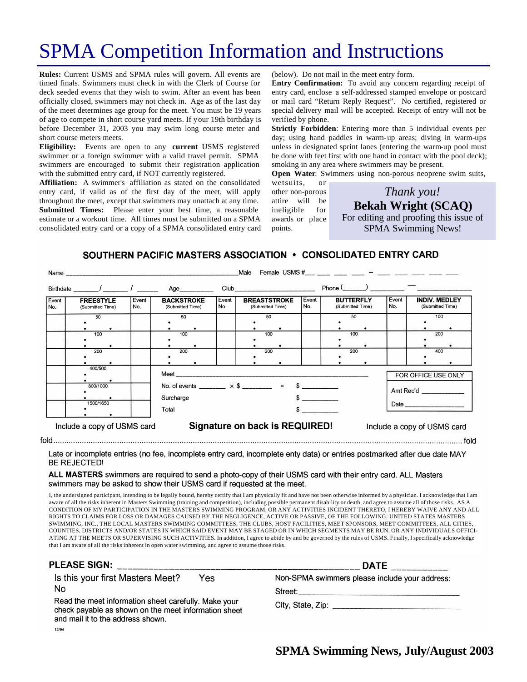# SPMA Competition Information and Instructions

**Rules:** Current USMS and SPMA rules will govern. All events are timed finals. Swimmers must check in with the Clerk of Course for deck seeded events that they wish to swim. After an event has been officially closed, swimmers may not check in. Age as of the last day of the meet determines age group for the meet. You must be 19 years of age to compete in short course yard meets. If your 19th birthday is before December 31, 2003 you may swim long course meter and short course meters meets.

**Eligibility:** Events are open to any **current** USMS registered swimmer or a foreign swimmer with a valid travel permit. SPMA swimmers are encouraged to submit their registration application with the submitted entry card, if NOT currently registered.

**Affiliation:** A swimmer's affiliation as stated on the consolidated entry card, if valid as of the first day of the meet, will apply throughout the meet, except that swimmers may unattach at any time. **Submitted Times:** Please enter your best time, a reasonable estimate or a workout time. All times must be submitted on a SPMA consolidated entry card or a copy of a SPMA consolidated entry card (below). Do not mail in the meet entry form.

**Entry Confirmation:** To avoid any concern regarding receipt of entry card, enclose a self-addressed stamped envelope or postcard or mail card "Return Reply Request". No certified, registered or special delivery mail will be accepted. Receipt of entry will not be verified by phone.

**Strictly Forbidden**: Entering more than 5 individual events per day; using hand paddles in warm-up areas; diving in warm-ups unless in designated sprint lanes (entering the warm-up pool must be done with feet first with one hand in contact with the pool deck); smoking in any area where swimmers may be present.

**Open Water**: Swimmers using non-porous neoprene swim suits,

wetsuits, or other non-porous attire will be ineligible for awards or place points.

*Thank you!* **Bekah Wright (SCAQ)** For editing and proofing this issue of SPMA Swimming News!

#### SOUTHERN PACIFIC MASTERS ASSOCIATION . CONSOLIDATED ENTRY CARD

|              | Name and the contract of the contract of the contract of the contract of the contract of the contract of the contract of the contract of the contract of the contract of the contract of the contract of the contract of the c |              |                                       |              | Male                                                       |              |                                      |              |                                          |
|--------------|--------------------------------------------------------------------------------------------------------------------------------------------------------------------------------------------------------------------------------|--------------|---------------------------------------|--------------|------------------------------------------------------------|--------------|--------------------------------------|--------------|------------------------------------------|
|              |                                                                                                                                                                                                                                |              | Age__________                         |              | Club ________________________                              |              | $Phone($ ) —                         |              |                                          |
| Event<br>No. | <b>FREESTYLE</b><br>(Submitted Time)                                                                                                                                                                                           | Event<br>No. | <b>BACKSTROKE</b><br>(Submitted Time) | Event<br>No. | <b>BREASTSTROKE</b><br>(Submitted Time)                    | Event<br>No. | <b>BUTTERFLY</b><br>(Submitted Time) | Event<br>No. | <b>INDIV. MEDLEY</b><br>(Submitted Time) |
|              | 50                                                                                                                                                                                                                             |              | 50                                    |              | 50                                                         |              | 50                                   |              | 100                                      |
|              | 100                                                                                                                                                                                                                            |              | 100                                   |              | 100                                                        |              | 100                                  |              | 200                                      |
|              | 200                                                                                                                                                                                                                            |              | 200                                   |              | 200                                                        |              | 200                                  |              | 400                                      |
|              | 400/500                                                                                                                                                                                                                        |              | Meet _______________                  |              |                                                            |              |                                      |              | FOR OFFICE USE ONLY                      |
|              | 800/1000                                                                                                                                                                                                                       |              | Surcharge                             |              | No. of events ________ $\times$ \$ ________ = \$ _________ |              |                                      |              | Amt Rec'd ____________                   |
|              | 1500/1650                                                                                                                                                                                                                      |              | Total                                 |              |                                                            |              |                                      |              |                                          |
|              | Include a copy of USMS card                                                                                                                                                                                                    |              |                                       |              | <b>Signature on back is REQUIRED!</b>                      |              |                                      |              | Include a copy of USMS card              |

Late or incomplete entries (no fee, incomplete entry card, incomplete enty data) or entries postmarked after due date MAY **BE REJECTED!** 

#### ALL MASTERS swimmers are required to send a photo-copy of their USMS card with their entry card. ALL Masters swimmers may be asked to show their USMS card if requested at the meet.

I, the undersigned participant, intending to be legally bound, hereby certify that I am physically fit and have not been otherwise informed by a physician. I acknowledge that I am aware of all the risks inherent in Masters Swimming (training and competition), including possible permanent disability or death, and agree to assume all of those risks. AS A CONDITION OF MY PARTICIPATION IN THE MASTERS SWIMMING PROGRAM, OR ANY ACTIVITIES INCIDENT THERETO, I HEREBY WAIVE ANY AND ALL RIGHTS TO CLAIMS FOR LOSS OR DAMAGES CAUSED BY THE NEGLIGENCE, ACTIVE OR PASSIVE, OF THE FOLLOWING: UNITED STATES MASTERS SWIMMING, INC., THE LOCAL MASTERS SWIMMING COMMITTEES, THE CLUBS, HOST FACILITIES, MEET SPONSORS, MEET COMMITTEES, ALL CITIES, COUNTIES, DISTRICTS AND/OR STATES IN WHICH SAID EVENT MAY BE STAGED OR IN WHICH SEGMENTS MAY BE RUN, OR ANY INDIVIDUALS OFFICI-ATING AT THE MEETS OR SUPERVISING SUCH ACTIVITIES. In addition, I agree to abide by and be governed by the rules of USMS. Finally, I specifically acknowledge that I am aware of all the risks inherent in open water swimming, and agree to assume those risks.

| <b>PLEASE SIGN:</b>                                                                                          | <b>DATE</b>                                    |  |  |
|--------------------------------------------------------------------------------------------------------------|------------------------------------------------|--|--|
| Is this your first Masters Meet?<br>Yes                                                                      | Non-SPMA swimmers please include your address: |  |  |
| No                                                                                                           | Street: Andrew Street                          |  |  |
| Read the meet information sheet carefully. Make your<br>check payable as shown on the meet information sheet | City, State, Zip: $\frac{1}{2}$                |  |  |
| and mail it to the address shown.                                                                            |                                                |  |  |
| 12/9A                                                                                                        |                                                |  |  |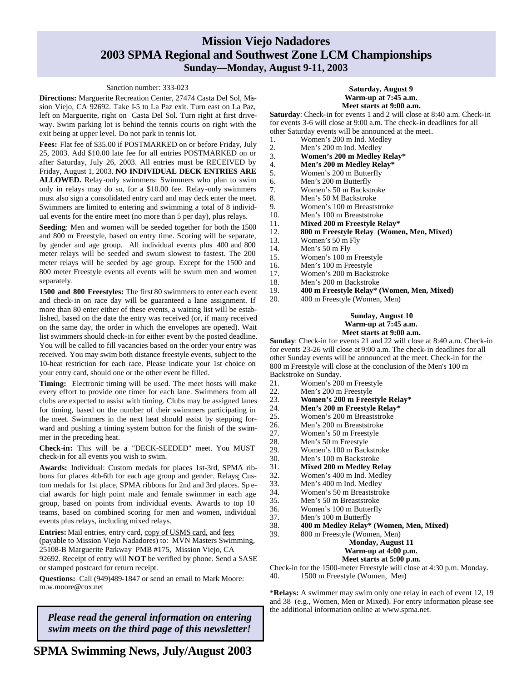### **Mission Viejo Nadadores 2003 SPMA Regional and Southwest Zone LCM Championships Sunday—Monday, August 9-11, 2003**

#### Sanction number: 333-023

**Directions:** Marguerite Recreation Center, 27474 Casta Del Sol, Mission Viejo, CA 92692. Take I-5 to La Paz exit. Turn east on La Paz, left on Marguerite, right on Casta Del Sol. Turn right at first driveway. Swim parking lot is behind the tennis courts on right with the exit being at upper level. Do not park in tennis lot.

**Fees:** Flat fee of \$35.00 if POSTMARKED on or before Friday, July 25, 2003. Add \$10.00 late fee for all entries POSTMARKED on or after Saturday, July 26, 2003. All entries must be RECEIVED by Friday, August 1, 2003. **NO INDIVIDUAL DECK ENTRIES ARE ALLOWED.** Relay-only swimmers: Swimmers who plan to swim only in relays may do so, for a \$10.00 fee. Relay-only swimmers must also sign a consolidated entry card and may deck enter the meet. Swimmers are limited to entering and swimming a total of 8 individual events for the entire meet (no more than 5 per day), plus relays.

**Seeding**: Men and women will be seeded together for both the 1500 and 800 m Freestyle, based on entry time. Scoring will be separate, by gender and age group. All individual events plus 400 and 800 meter relays will be seeded and swum slowest to fastest. The 200 meter relays will be seeded by age group. Except for the 1500 and 800 meter Freestyle events all events will be swum men and women separately.

**1500 and 800 Freestyles:** The first 80 swimmers to enter each event and check-in on race day will be guaranteed a lane assignment. If more than 80 enter either of these events, a waiting list will be established, based on the date the entry was received (or, if many received on the same day, the order in which the envelopes are opened). Wait list swimmers should check-in for either event by the posted deadline. You will be called to fill vacancies based on the order your entry was received. You may swim both distance freestyle events, subject to the 10-heat restriction for each race. Please indicate your 1st choice on your entry card, should one or the other event be filled.

**Timing:** Electronic timing will be used. The meet hosts will make every effort to provide one timer for each lane. Swimmers from all clubs are expected to assist with timing. Clubs may be assigned lanes for timing, based on the number of their swimmers participating in the meet. Swimmers in the next heat should assist by stepping forward and pushing a timing system button for the finish of the swimmer in the preceding heat.

**Check-in:** This will be a "DECK-SEEDED" meet. You MUST check-in for all events you wish to swim.

**Awards:** Individual: Custom medals for places 1st-3rd, SPMA ribbons for places 4th-6th for each age group and gender. Relays: Custom medals for 1st place, SPMA ribbons for 2nd and 3rd places. Sp ecial awards for high point male and female swimmer in each age group, based on points from individual events. Awards to top 10 teams, based on combined scoring for men and women, individual events plus relays, including mixed relays.

**Entries:** Mail entries, entry card, copy of USMS card, and fees (payable to Mission Viejo Nadadores) to: MVN Masters Swimming, 25108-B Marguerite Parkway PMB #175, Mission Viejo, CA 92692. Receipt of entry will **NOT** be verified by phone. Send a SASE or stamped postcard for return receipt.

**Questions:** Call (949)489-1847 or send an email to Mark Moore: m.w.moore@cox.net

*Please read the general information on entering swim meets on the third page of this newsletter!*

#### **Saturday, August 9 Warm-up at 7:45 a.m. Meet starts at 9:00 a.m.**

**Saturday**: Check-in for events 1 and 2 will close at 8:40 a.m. Check-in for events 3-6 will close at 9:00 a.m. The check-in deadlines for all other Saturday events will be announced at the meet.

- 1. Women's 200 m Ind. Medley 2. Men's 200 m Ind. Medley 3. **Women's 200 m Medley Relay\*** 4. **Men's 200 m Medley Relay\*** 5. Women's 200 m Butterfly 6. Men's 200 m Butterfly 7. Women's 50 m Backstroke 8. Men's 50 M Backstroke 9. Women's 100 m Breaststroke 10. Men's 100 m Breaststroke 11. **Mixed 200 m Freestyle Relay\***  12. **800 m Freestyle Relay (Women, Men, Mixed)**  13. Women's 50 m Fly 14. Men's 50 m Fly 15. Women's 100 m Freestyle 16. Men's 100 m Freestyle 17. Women's 200 m Backstroke 18. Men's 200 m Backstroke
- 19. **400 m Freestyle Relay\* (Women, Men, Mixed)**
- 20. 400 m Freestyle (Women, Men)

#### **Sunday, August 10 Warm-up at 7:45 a.m. Meet starts at 9:00 a.m.**

**Sunday**: Check-in for events 21 and 22 will close at 8:40 a.m. Check-in for events 23-26 will close at 9:00 a.m. The check-in deadlines for all other Sunday events will be announced at the meet. Check-in for the 800 m Freestyle will close at the conclusion of the Men's 100 m Backstroke on Sunday.

| 21. | Women's 200 m Freestyle                                      |
|-----|--------------------------------------------------------------|
| 22. | Men's 200 m Freestyle                                        |
| 23. | Women's 200 m Freestyle Relay*                               |
| 24. | Men's 200 m Freestyle Relay*                                 |
| 25. | Women's 200 m Breaststroke                                   |
| 26. | Men's 200 m Breaststroke                                     |
| 27. | Women's 50 m Freestyle                                       |
| 28. | Men's 50 m Freestyle                                         |
| 29. | Women's 100 m Backstroke                                     |
| 30. | Men's 100 m Backstroke                                       |
| 31. | Mixed 200 m Medley Relay                                     |
| 32. | Women's 400 m Ind. Medley                                    |
| 33. | Men's 400 m Ind. Medley                                      |
| 34. | Women's 50 m Breaststroke                                    |
| 35. | Men's 50 m Breaststroke                                      |
| 36. | Women's 100 m Butterfly                                      |
| 37. | Men's 100 m Butterfly                                        |
| 38. | 400 m Medley Relay* (Women, Men, Mixed)                      |
| 39. | 800 m Freestyle (Women, Men)                                 |
|     | <b>Monday, August 11</b>                                     |
|     | Warm-up at 4:00 p.m.                                         |
|     | Meet starts at 5:00 p.m.                                     |
|     | Check-in for the 1500-meter Freestyle will close at $4.30$ p |

r the 1500-meter Freestyle will close at 4:30 p.m. Monday. 40. 1500 m Freestyle (Women, Men)

\***Relays:** A swimmer may swim only one relay in each of event 12, 19 and 38 (e.g., Women, Men or Mixed). For entry information please see the additional information online at www.spma.net.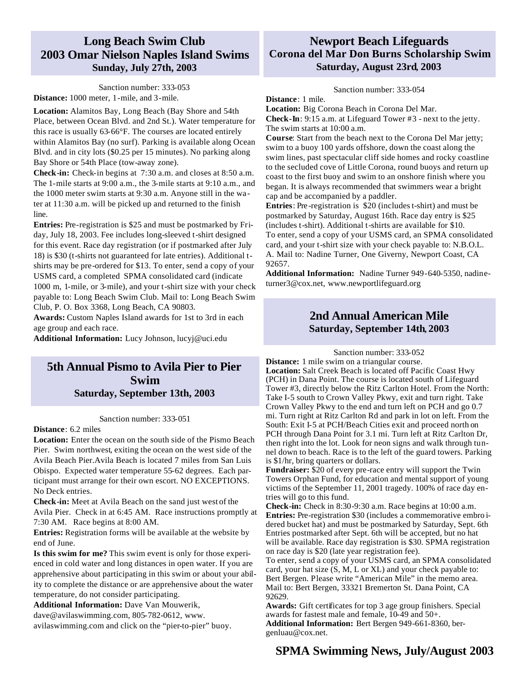### **Long Beach Swim Club 2003 Omar Nielson Naples Island Swims Sunday, July 27th, 2003**

Sanction number: 333-053 **Distance:** 1000 meter, 1-mile, and 3-mile.

**Location:** Alamitos Bay, Long Beach (Bay Shore and 54th Place, between Ocean Blvd. and 2nd St.). Water temperature for this race is usually 63-66°F. The courses are located entirely within Alamitos Bay (no surf). Parking is available along Ocean Blvd. and in city lots (\$0.25 per 15 minutes). No parking along Bay Shore or 54th Place (tow-away zone).

**Check-in:** Check-in begins at 7:30 a.m. and closes at 8:50 a.m. The 1-mile starts at 9:00 a.m., the 3-mile starts at 9:10 a.m., and the 1000 meter swim starts at 9:30 a.m. Anyone still in the water at 11:30 a.m. will be picked up and returned to the finish line.

**Entries:** Pre-registration is \$25 and must be postmarked by Friday, July 18, 2003. Fee includes long-sleeved t-shirt designed for this event. Race day registration (or if postmarked after July 18) is \$30 (t-shirts not guaranteed for late entries). Additional tshirts may be pre-ordered for \$13. To enter, send a copy of your USMS card, a completed SPMA consolidated card (indicate 1000 m, 1-mile, or 3-mile), and your t-shirt size with your check payable to: Long Beach Swim Club. Mail to: Long Beach Swim Club, P. O. Box 3368, Long Beach, CA 90803.

**Awards:** Custom Naples Island awards for 1st to 3rd in each age group and each race.

**Additional Information:** Lucy Johnson, lucyj@uci.edu

### **5th Annual Pismo to Avila Pier to Pier Swim Saturday, September 13th, 2003**

Sanction number: 333-051

#### **Distance**: 6.2 miles

Location: Enter the ocean on the south side of the Pismo Beach Pier. Swim northwest, exiting the ocean on the west side of the Avila Beach Pier.Avila Beach is located 7 miles from San Luis Obispo. Expected water temperature 55-62 degrees. Each participant must arrange for their own escort. NO EXCEPTIONS. No Deck entries.

**Check-in:** Meet at Avila Beach on the sand just west of the Avila Pier. Check in at 6:45 AM. Race instructions promptly at 7:30 AM. Race begins at 8:00 AM.

**Entries:** Registration forms will be available at the website by end of June.

**Is this swim for me?** This swim event is only for those experienced in cold water and long distances in open water. If you are apprehensive about participating in this swim or about your ability to complete the distance or are apprehensive about the water temperature, do not consider participating.

**Additional Information:** Dave Van Mouwerik,

dave@avilaswimming.com, 805-782-0612, www.

avilaswimming.com and click on the "pier-to-pier" buoy.

### **Newport Beach Lifeguards Corona del Mar Don Burns Scholarship Swim Saturday, August 23rd, 2003**

Sanction number: 333-054

**Distance**: 1 mile.

**Location:** Big Corona Beach in Corona Del Mar.

**Check-In**: 9:15 a.m. at Lifeguard Tower #3 - next to the jetty. The swim starts at 10:00 a.m.

**Course**: Start from the beach next to the Corona Del Mar jetty; swim to a buoy 100 yards offshore, down the coast along the swim lines, past spectacular cliff side homes and rocky coastline to the secluded cove of Little Corona, round buoys and return up coast to the first buoy and swim to an onshore finish where you began. It is always recommended that swimmers wear a bright cap and be accompanied by a paddler.

**Entries**: Pre -registration is \$20 (includes t-shirt) and must be postmarked by Saturday, August 16th. Race day entry is \$25 (includes t-shirt). Additional t-shirts are available for \$10. To enter, send a copy of your USMS card, an SPMA consolidated card, and your t-shirt size with your check payable to: N.B.O.L. A. Mail to: Nadine Turner, One Giverny, Newport Coast, CA 92657.

**Additional Information:** Nadine Turner 949-640-5350, nadineturner3@cox.net, www.newportlifeguard.org

### **2nd Annual American Mile Saturday, September 14th, 2003**

Sanction number: 333-052

**Distance:** 1 mile swim on a triangular course. **Location:** Salt Creek Beach is located off Pacific Coast Hwy (PCH) in Dana Point. The course is located south of Lifeguard Tower #3, directly below the Ritz Carlton Hotel. From the North: Take I-5 south to Crown Valley Pkwy, exit and turn right. Take Crown Valley Pkwy to the end and turn left on PCH and go 0.7 mi. Turn right at Ritz Carlton Rd and park in lot on left. From the South: Exit I-5 at PCH/Beach Cities exit and proceed north on PCH through Dana Point for 3.1 mi. Turn left at Ritz Carlton Dr, then right into the lot. Look for neon signs and walk through tunnel down to beach. Race is to the left of the guard towers. Parking is \$1/hr, bring quarters or dollars.

**Fundraiser:** \$20 of every pre-race entry will support the Twin Towers Orphan Fund, for education and mental support of young victims of the September 11, 2001 tragedy. 100% of race day entries will go to this fund.

**Check-in:** Check in 8:30-9:30 a.m. Race begins at 10:00 a.m. **Entries:** Pre-registration \$30 (includes a commemorative embro idered bucket hat) and must be postmarked by Saturday, Sept. 6th Entries postmarked after Sept. 6th will be accepted, but no hat will be available. Race day registration is \$30. SPMA registration on race day is \$20 (late year registration fee).

To enter, send a copy of your USMS card, an SPMA consolidated card, your hat size  $(S, M, L \text{ or } XL)$  and your check payable to: Bert Bergen. Please write "American Mile" in the memo area. Mail to: Bert Bergen, 33321 Bremerton St. Dana Point, CA 92629.

**Awards:** Gift certificates for top 3 age group finishers. Special awards for fastest male and female, 10-49 and 50+. **Additional Information:** Bert Bergen 949-661-8360, bergenluau@cox.net.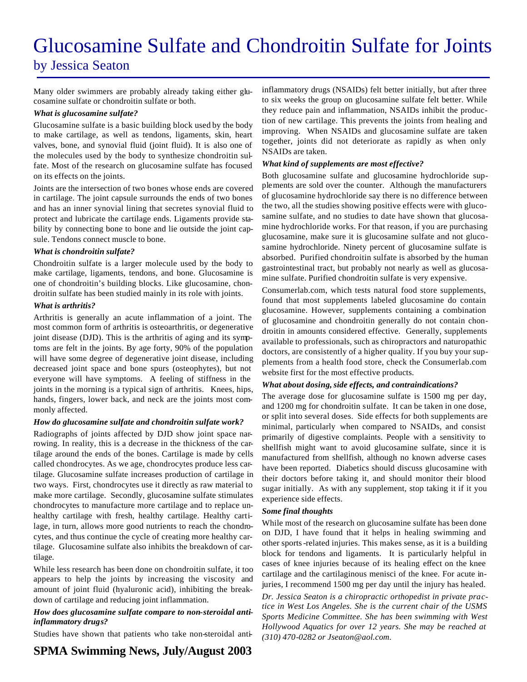## Glucosamine Sulfate and Chondroitin Sulfate for Joints by Jessica Seaton

Many older swimmers are probably already taking either glucosamine sulfate or chondroitin sulfate or both.

#### *What is glucosamine sulfate?*

Glucosamine sulfate is a basic building block used by the body to make cartilage, as well as tendons, ligaments, skin, heart valves, bone, and synovial fluid (joint fluid). It is also one of the molecules used by the body to synthesize chondroitin sulfate. Most of the research on glucosamine sulfate has focused on its effects on the joints.

Joints are the intersection of two bones whose ends are covered in cartilage. The joint capsule surrounds the ends of two bones and has an inner synovial lining that secretes synovial fluid to protect and lubricate the cartilage ends. Ligaments provide stability by connecting bone to bone and lie outside the joint capsule. Tendons connect muscle to bone.

#### *What is chondroitin sulfate?*

Chondroitin sulfate is a larger molecule used by the body to make cartilage, ligaments, tendons, and bone. Glucosamine is one of chondroitin's building blocks. Like glucosamine, chondroitin sulfate has been studied mainly in its role with joints.

#### *What is arthritis?*

Arthritis is generally an acute inflammation of a joint. The most common form of arthritis is osteoarthritis, or degenerative joint disease (DJD). This is the arthritis of aging and its symptoms are felt in the joints. By age forty, 90% of the population will have some degree of degenerative joint disease, including decreased joint space and bone spurs (osteophytes), but not everyone will have symptoms. A feeling of stiffness in the joints in the morning is a typical sign of arthritis. Knees, hips, hands, fingers, lower back, and neck are the joints most commonly affected.

#### *How do glucosamine sulfate and chondroitin sulfate work?*

Radiographs of joints affected by DJD show joint space narrowing. In reality, this is a decrease in the thickness of the cartilage around the ends of the bones. Cartilage is made by cells called chondrocytes. As we age, chondrocytes produce less cartilage. Glucosamine sulfate increases production of cartilage in two ways. First, chondrocytes use it directly as raw material to make more cartilage. Secondly, glucosamine sulfate stimulates chondrocytes to manufacture more cartilage and to replace unhealthy cartilage with fresh, healthy cartilage. Healthy cartilage, in turn, allows more good nutrients to reach the chondrocytes, and thus continue the cycle of creating more healthy cartilage. Glucosamine sulfate also inhibits the breakdown of cartilage.

While less research has been done on chondroitin sulfate, it too appears to help the joints by increasing the viscosity and amount of joint fluid (hyaluronic acid), inhibiting the breakdown of cartilage and reducing joint inflammation.

#### *How does glucosamine sulfate compare to non-steroidal antiinflammatory drugs?*

Studies have shown that patients who take non-steroidal anti-

**SPMA Swimming News, July/August 2003**

inflammatory drugs (NSAIDs) felt better initially, but after three to six weeks the group on glucosamine sulfate felt better. While they reduce pain and inflammation, NSAIDs inhibit the production of new cartilage. This prevents the joints from healing and improving. When NSAIDs and glucosamine sulfate are taken together, joints did not deteriorate as rapidly as when only NSAIDs are taken.

#### *What kind of supplements are most effective?*

Both glucosamine sulfate and glucosamine hydrochloride supplements are sold over the counter. Although the manufacturers of glucosamine hydrochloride say there is no difference between the two, all the studies showing positive effects were with glucosamine sulfate, and no studies to date have shown that glucosamine hydrochloride works. For that reason, if you are purchasing glucosamine, make sure it is glucosamine sulfate and not glucosamine hydrochloride. Ninety percent of glucosamine sulfate is absorbed. Purified chondroitin sulfate is absorbed by the human gastrointestinal tract, but probably not nearly as well as glucosamine sulfate. Purified chondroitin sulfate is very expensive.

Consumerlab.com, which tests natural food store supplements, found that most supplements labeled glucosamine do contain glucosamine. However, supplements containing a combination of glucosamine and chondroitin generally do not contain chondroitin in amounts considered effective. Generally, supplements available to professionals, such as chiropractors and naturopathic doctors, are consistently of a higher quality. If you buy your supplements from a health food store, check the Consumerlab.com website first for the most effective products.

#### *What about dosing, side effects, and contraindications?*

The average dose for glucosamine sulfate is 1500 mg per day, and 1200 mg for chondroitin sulfate. It can be taken in one dose, or split into several doses. Side effects for both supplements are minimal, particularly when compared to NSAIDs, and consist primarily of digestive complaints. People with a sensitivity to shellfish might want to avoid glucosamine sulfate, since it is manufactured from shellfish, although no known adverse cases have been reported. Diabetics should discuss glucosamine with their doctors before taking it, and should monitor their blood sugar initially. As with any supplement, stop taking it if it you experience side effects.

#### *Some final thoughts*

While most of the research on glucosamine sulfate has been done on DJD, I have found that it helps in healing swimming and other sports-related injuries. This makes sense, as it is a building block for tendons and ligaments. It is particularly helpful in cases of knee injuries because of its healing effect on the knee cartilage and the cartilaginous menisci of the knee. For acute injuries, I recommend 1500 mg per day until the injury has healed.

*Dr. Jessica Seaton is a chiropractic orthopedist in private practice in West Los Angeles. She is the current chair of the USMS Sports Medicine Committee. She has been swimming with West Hollywood Aquatics for over 12 years. She may be reached at (310) 470-0282 or Jseaton@aol.com.*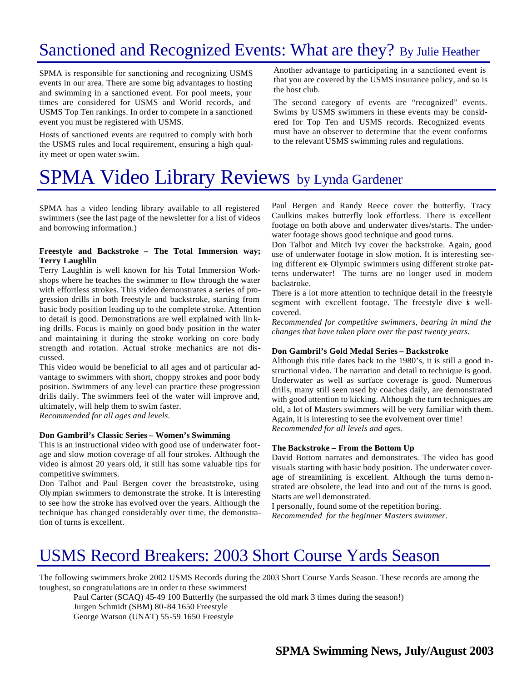## Sanctioned and Recognized Events: What are they? By Julie Heather

SPMA is responsible for sanctioning and recognizing USMS events in our area. There are some big advantages to hosting and swimming in a sanctioned event. For pool meets, your times are considered for USMS and World records, and USMS Top Ten rankings. In order to compete in a sanctioned event you must be registered with USMS.

Hosts of sanctioned events are required to comply with both the USMS rules and local requirement, ensuring a high quality meet or open water swim.

#### Another advantage to participating in a sanctioned event is that you are covered by the USMS insurance policy, and so is the host club.

The second category of events are "recognized" events. Swims by USMS swimmers in these events may be considered for Top Ten and USMS records. Recognized events must have an observer to determine that the event conforms to the relevant USMS swimming rules and regulations.

## SPMA Video Library Reviews by Lynda Gardener

SPMA has a video lending library available to all registered swimmers (see the last page of the newsletter for a list of videos and borrowing information.)

#### **Freestyle and Backstroke – The Total Immersion way; Terry Laughlin**

Terry Laughlin is well known for his Total Immersion Workshops where he teaches the swimmer to flow through the water with effortless strokes. This video demonstrates a series of progression drills in both freestyle and backstroke, starting from basic body position leading up to the complete stroke. Attention to detail is good. Demonstrations are well explained with lin king drills. Focus is mainly on good body position in the water and maintaining it during the stroke working on core body strength and rotation. Actual stroke mechanics are not discussed.

This video would be beneficial to all ages and of particular advantage to swimmers with short, choppy strokes and poor body position. Swimmers of any level can practice these progression drills daily. The swimmers feel of the water will improve and, ultimately, will help them to swim faster.

*Recommended for all ages and levels.*

#### **Don Gambril's Classic Series – Women's Swimming**

This is an instructional video with good use of underwater footage and slow motion coverage of all four strokes. Although the video is almost 20 years old, it still has some valuable tips for competitive swimmers.

Don Talbot and Paul Bergen cover the breaststroke, using Olympian swimmers to demonstrate the stroke. It is interesting to see how the stroke has evolved over the years. Although the technique has changed considerably over time, the demonstration of turns is excellent.

Paul Bergen and Randy Reece cover the butterfly. Tracy Caulkins makes butterfly look effortless. There is excellent footage on both above and underwater dives/starts. The underwater footage shows good technique and good turns.

Don Talbot and Mitch Ivy cover the backstroke. Again, good use of underwater footage in slow motion. It is interesting seeing different ex- Olympic swimmers using different stroke patterns underwater! The turns are no longer used in modern backstroke.

There is a lot more attention to technique detail in the freestyle segment with excellent footage. The freestyle dive is wellcovered.

*Recommended for competitive swimmers, bearing in mind the changes that have taken place over the past twenty years.*

#### **Don Gambril's Gold Medal Series – Backstroke**

Although this title dates back to the 1980's, it is still a good instructional video. The narration and detail to technique is good. Underwater as well as surface coverage is good. Numerous drills, many still seen used by coaches daily, are demonstrated with good attention to kicking. Although the turn techniques are old, a lot of Masters swimmers will be very familiar with them. Again, it is interesting to see the evolvement over time! *Recommended for all levels and ages.*

#### **The Backstroke – From the Bottom Up**

David Bottom narrates and demonstrates. The video has good visuals starting with basic body position. The underwater coverage of streamlining is excellent. Although the turns demo nstrated are obsolete, the lead into and out of the turns is good. Starts are well demonstrated.

I personally, found some of the repetition boring. *Recommended for the beginner Masters swimmer.* 

## USMS Record Breakers: 2003 Short Course Yards Season

The following swimmers broke 2002 USMS Records during the 2003 Short Course Yards Season. These records are among the toughest, so congratulations are in order to these swimmers!

Paul Carter (SCAQ) 45-49 100 Butterfly (he surpassed the old mark 3 times during the season!) Jurgen Schmidt (SBM) 80-84 1650 Freestyle George Watson (UNAT) 55-59 1650 Freestyle